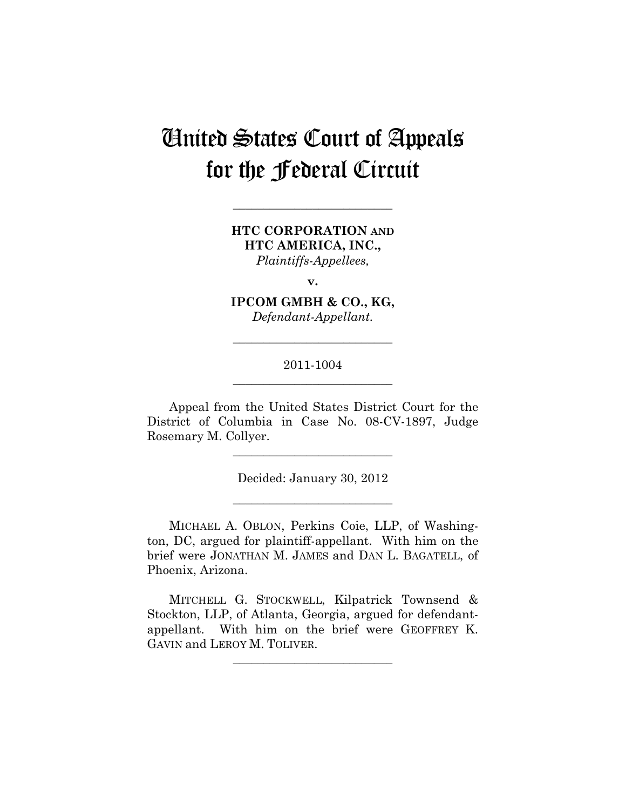# United States Court of Appeals for the Federal Circuit

**HTC CORPORATION AND HTC AMERICA, INC.,**  *Plaintiffs-Appellees,* 

**\_\_\_\_\_\_\_\_\_\_\_\_\_\_\_\_\_\_\_\_\_\_\_\_\_\_** 

**v.** 

**IPCOM GMBH & CO., KG,**  *Defendant-Appellant.* 

## 2011-1004 **\_\_\_\_\_\_\_\_\_\_\_\_\_\_\_\_\_\_\_\_\_\_\_\_\_\_**

**\_\_\_\_\_\_\_\_\_\_\_\_\_\_\_\_\_\_\_\_\_\_\_\_\_\_** 

Appeal from the United States District Court for the District of Columbia in Case No. 08-CV-1897, Judge Rosemary M. Collyer.

**\_\_\_\_\_\_\_\_\_\_\_\_\_\_\_\_\_\_\_\_\_\_\_\_\_\_** 

Decided: January 30, 2012

**\_\_\_\_\_\_\_\_\_\_\_\_\_\_\_\_\_\_\_\_\_\_\_\_\_\_** 

MICHAEL A. OBLON, Perkins Coie, LLP, of Washington, DC, argued for plaintiff-appellant. With him on the brief were JONATHAN M. JAMES and DAN L. BAGATELL, of Phoenix, Arizona.

MITCHELL G. STOCKWELL, Kilpatrick Townsend & Stockton, LLP, of Atlanta, Georgia, argued for defendantappellant. With him on the brief were GEOFFREY K. GAVIN and LEROY M. TOLIVER.

**\_\_\_\_\_\_\_\_\_\_\_\_\_\_\_\_\_\_\_\_\_\_\_\_\_\_**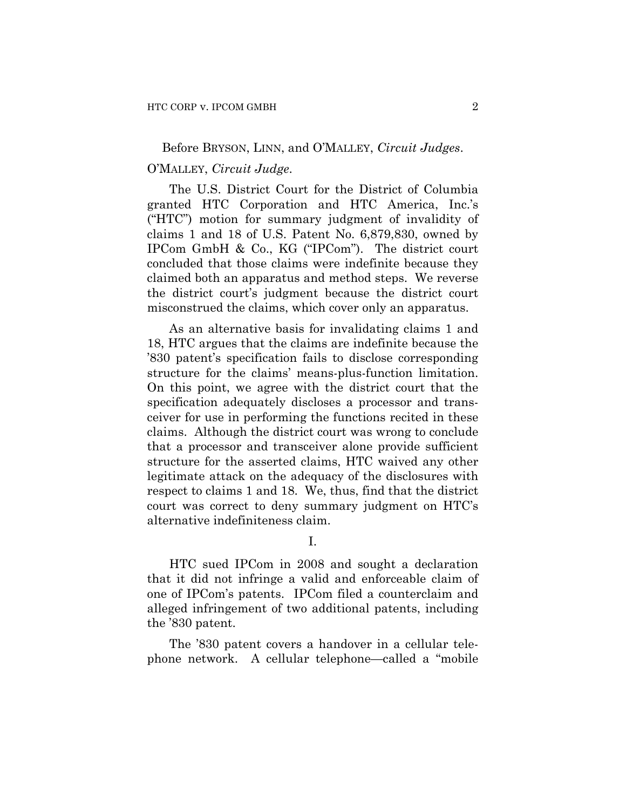### Before BRYSON, LINN, and O'MALLEY, *Circuit Judges*.

## O'MALLEY, *Circuit Judge*.

The U.S. District Court for the District of Columbia granted HTC Corporation and HTC America, Inc.'s ("HTC") motion for summary judgment of invalidity of claims 1 and 18 of U.S. Patent No. 6,879,830, owned by IPCom GmbH & Co., KG ("IPCom"). The district court concluded that those claims were indefinite because they claimed both an apparatus and method steps. We reverse the district court's judgment because the district court misconstrued the claims, which cover only an apparatus.

As an alternative basis for invalidating claims 1 and 18, HTC argues that the claims are indefinite because the '830 patent's specification fails to disclose corresponding structure for the claims' means-plus-function limitation. On this point, we agree with the district court that the specification adequately discloses a processor and transceiver for use in performing the functions recited in these claims. Although the district court was wrong to conclude that a processor and transceiver alone provide sufficient structure for the asserted claims, HTC waived any other legitimate attack on the adequacy of the disclosures with respect to claims 1 and 18. We, thus, find that the district court was correct to deny summary judgment on HTC's alternative indefiniteness claim.

I.

HTC sued IPCom in 2008 and sought a declaration that it did not infringe a valid and enforceable claim of one of IPCom's patents. IPCom filed a counterclaim and alleged infringement of two additional patents, including the '830 patent.

The '830 patent covers a handover in a cellular telephone network. A cellular telephone—called a "mobile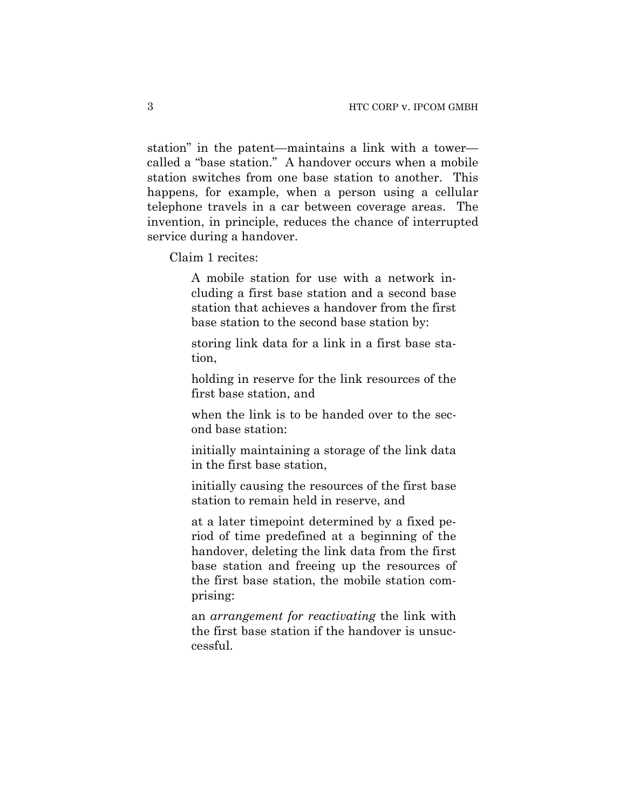station" in the patent—maintains a link with a tower called a "base station." A handover occurs when a mobile station switches from one base station to another. This happens, for example, when a person using a cellular telephone travels in a car between coverage areas. The invention, in principle, reduces the chance of interrupted service during a handover.

Claim 1 recites:

A mobile station for use with a network including a first base station and a second base station that achieves a handover from the first base station to the second base station by:

storing link data for a link in a first base station,

holding in reserve for the link resources of the first base station, and

when the link is to be handed over to the second base station:

initially maintaining a storage of the link data in the first base station,

initially causing the resources of the first base station to remain held in reserve, and

at a later timepoint determined by a fixed period of time predefined at a beginning of the handover, deleting the link data from the first base station and freeing up the resources of the first base station, the mobile station comprising:

an *arrangement for reactivating* the link with the first base station if the handover is unsuccessful.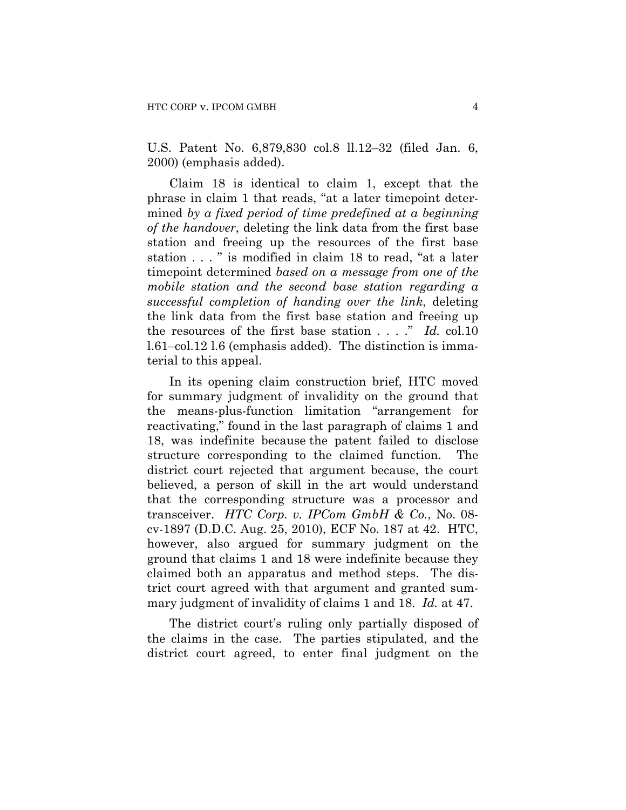U.S. Patent No. 6,879,830 col.8 ll.12–32 (filed Jan. 6, 2000) (emphasis added).

Claim 18 is identical to claim 1, except that the phrase in claim 1 that reads, "at a later timepoint determined *by a fixed period of time predefined at a beginning of the handover*, deleting the link data from the first base station and freeing up the resources of the first base station . . . " is modified in claim 18 to read, "at a later timepoint determined *based on a message from one of the mobile station and the second base station regarding a successful completion of handing over the link*, deleting the link data from the first base station and freeing up the resources of the first base station . . . ." *Id.* col.10 l.61–col.12 l.6 (emphasis added). The distinction is immaterial to this appeal.

In its opening claim construction brief, HTC moved for summary judgment of invalidity on the ground that the means-plus-function limitation "arrangement for reactivating," found in the last paragraph of claims 1 and 18, was indefinite because the patent failed to disclose structure corresponding to the claimed function. The district court rejected that argument because, the court believed, a person of skill in the art would understand that the corresponding structure was a processor and transceiver. *HTC Corp. v. IPCom GmbH & Co.*, No. 08 cv-1897 (D.D.C. Aug. 25, 2010), ECF No. 187 at 42. HTC, however, also argued for summary judgment on the ground that claims 1 and 18 were indefinite because they claimed both an apparatus and method steps. The district court agreed with that argument and granted summary judgment of invalidity of claims 1 and 18. *Id.* at 47.

The district court's ruling only partially disposed of the claims in the case. The parties stipulated, and the district court agreed, to enter final judgment on the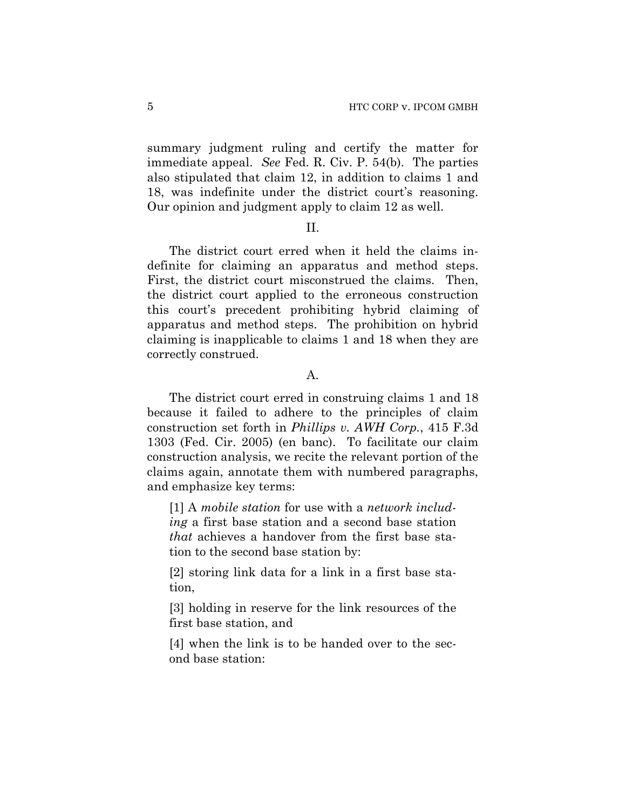summary judgment ruling and certify the matter for immediate appeal. *See* Fed. R. Civ. P. 54(b). The parties also stipulated that claim 12, in addition to claims 1 and 18, was indefinite under the district court's reasoning. Our opinion and judgment apply to claim 12 as well.

#### II.

The district court erred when it held the claims indefinite for claiming an apparatus and method steps. First, the district court misconstrued the claims. Then, the district court applied to the erroneous construction this court's precedent prohibiting hybrid claiming of apparatus and method steps. The prohibition on hybrid claiming is inapplicable to claims 1 and 18 when they are correctly construed.

#### A.

The district court erred in construing claims 1 and 18 because it failed to adhere to the principles of claim construction set forth in *Phillips v. AWH Corp.*, 415 F.3d 1303 (Fed. Cir. 2005) (en banc). To facilitate our claim construction analysis, we recite the relevant portion of the claims again, annotate them with numbered paragraphs, and emphasize key terms:

[1] A *mobile station* for use with a *network including* a first base station and a second base station *that* achieves a handover from the first base station to the second base station by:

[2] storing link data for a link in a first base station,

[3] holding in reserve for the link resources of the first base station, and

[4] when the link is to be handed over to the second base station: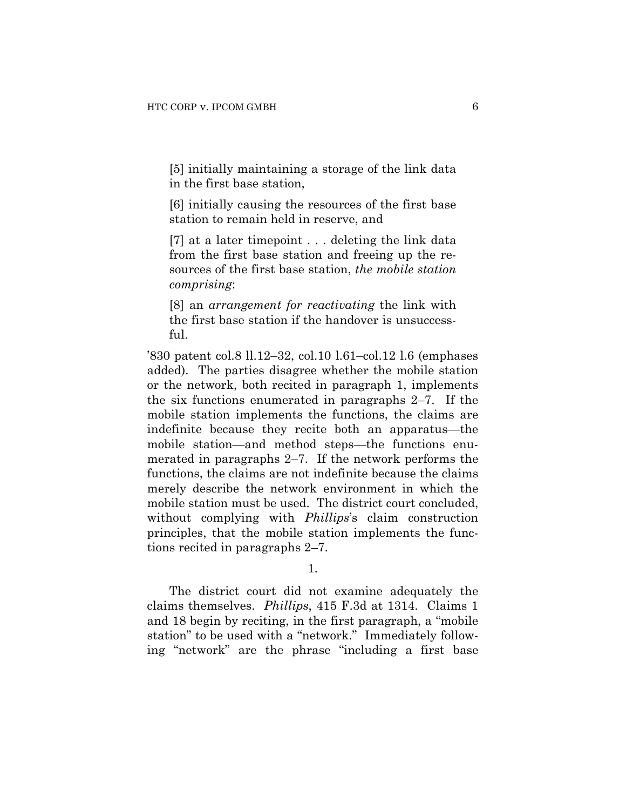[5] initially maintaining a storage of the link data in the first base station,

[6] initially causing the resources of the first base station to remain held in reserve, and

[7] at a later timepoint . . . deleting the link data from the first base station and freeing up the resources of the first base station, *the mobile station comprising*:

[8] an *arrangement for reactivating* the link with the first base station if the handover is unsuccessful.

'830 patent col.8 ll.12–32, col.10 l.61–col.12 l.6 (emphases added). The parties disagree whether the mobile station or the network, both recited in paragraph 1, implements the six functions enumerated in paragraphs 2–7. If the mobile station implements the functions, the claims are indefinite because they recite both an apparatus—the mobile station—and method steps—the functions enumerated in paragraphs 2–7. If the network performs the functions, the claims are not indefinite because the claims merely describe the network environment in which the mobile station must be used. The district court concluded, without complying with *Phillips*'s claim construction principles, that the mobile station implements the functions recited in paragraphs 2–7.

1.

The district court did not examine adequately the claims themselves. *Phillips*, 415 F.3d at 1314. Claims 1 and 18 begin by reciting, in the first paragraph, a "mobile station" to be used with a "network." Immediately following "network" are the phrase "including a first base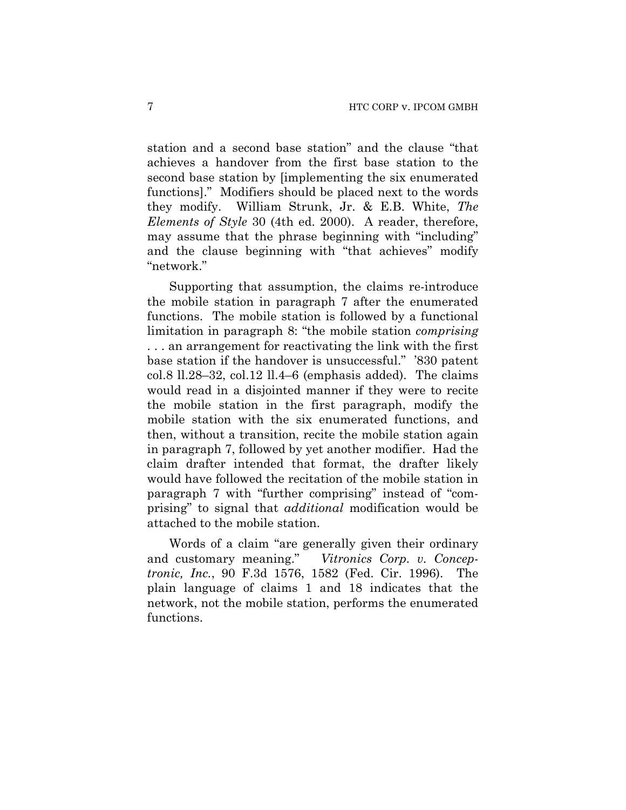station and a second base station" and the clause "that achieves a handover from the first base station to the second base station by [implementing the six enumerated functions]." Modifiers should be placed next to the words they modify. William Strunk, Jr. & E.B. White, *The Elements of Style* 30 (4th ed. 2000). A reader, therefore, may assume that the phrase beginning with "including" and the clause beginning with "that achieves" modify "network."

Supporting that assumption, the claims re-introduce the mobile station in paragraph 7 after the enumerated functions. The mobile station is followed by a functional limitation in paragraph 8: "the mobile station *comprising* . . . an arrangement for reactivating the link with the first base station if the handover is unsuccessful." '830 patent col.8 ll.28–32, col.12 ll.4–6 (emphasis added). The claims would read in a disjointed manner if they were to recite the mobile station in the first paragraph, modify the mobile station with the six enumerated functions, and then, without a transition, recite the mobile station again in paragraph 7, followed by yet another modifier. Had the claim drafter intended that format, the drafter likely would have followed the recitation of the mobile station in paragraph 7 with "further comprising" instead of "comprising" to signal that *additional* modification would be attached to the mobile station.

Words of a claim "are generally given their ordinary and customary meaning." *Vitronics Corp. v. Conceptronic, Inc.*, 90 F.3d 1576, 1582 (Fed. Cir. 1996). The plain language of claims 1 and 18 indicates that the network, not the mobile station, performs the enumerated functions.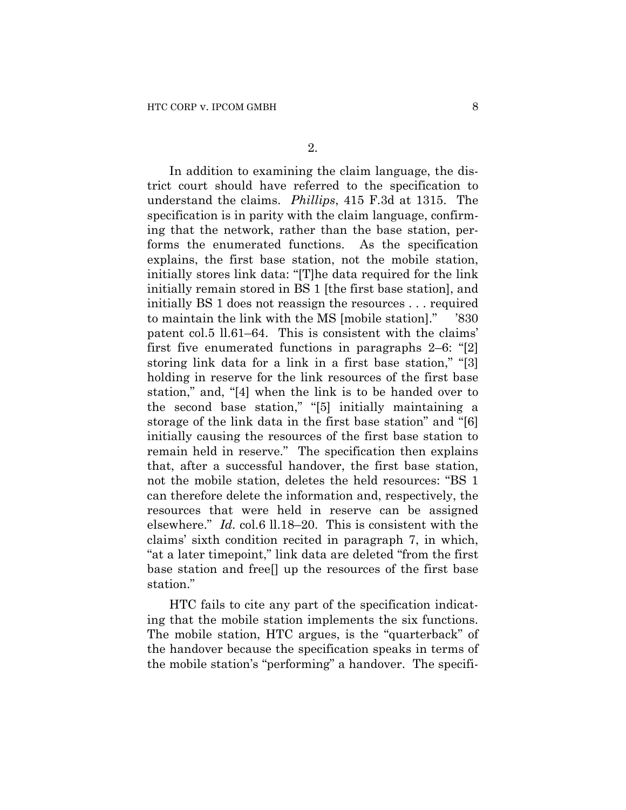In addition to examining the claim language, the district court should have referred to the specification to understand the claims. *Phillips*, 415 F.3d at 1315. The specification is in parity with the claim language, confirming that the network, rather than the base station, performs the enumerated functions. As the specification explains, the first base station, not the mobile station, initially stores link data: "[T]he data required for the link initially remain stored in BS 1 [the first base station], and initially BS 1 does not reassign the resources . . . required to maintain the link with the MS [mobile station]." '830 patent col.5 ll.61–64. This is consistent with the claims' first five enumerated functions in paragraphs 2–6: "[2] storing link data for a link in a first base station," "[3] holding in reserve for the link resources of the first base station," and, "[4] when the link is to be handed over to the second base station," "[5] initially maintaining a storage of the link data in the first base station" and "[6] initially causing the resources of the first base station to remain held in reserve." The specification then explains that, after a successful handover, the first base station, not the mobile station, deletes the held resources: "BS 1 can therefore delete the information and, respectively, the resources that were held in reserve can be assigned elsewhere." *Id.* col.6 ll.18–20. This is consistent with the claims' sixth condition recited in paragraph 7, in which, "at a later timepoint," link data are deleted "from the first base station and free[] up the resources of the first base station."

HTC fails to cite any part of the specification indicating that the mobile station implements the six functions. The mobile station, HTC argues, is the "quarterback" of the handover because the specification speaks in terms of the mobile station's "performing" a handover. The specifi-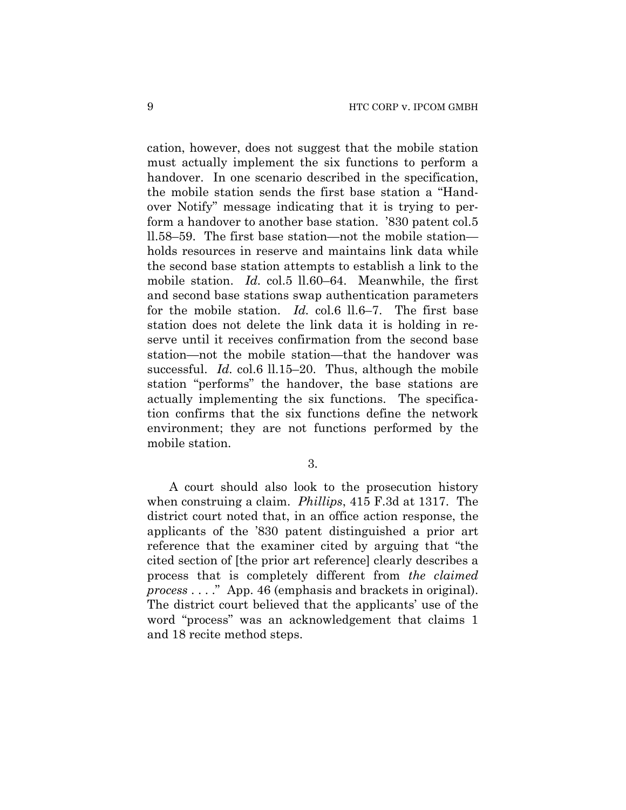cation, however, does not suggest that the mobile station must actually implement the six functions to perform a handover. In one scenario described in the specification, the mobile station sends the first base station a "Handover Notify" message indicating that it is trying to perform a handover to another base station. '830 patent col.5 ll.58–59. The first base station—not the mobile station holds resources in reserve and maintains link data while the second base station attempts to establish a link to the mobile station. *Id.* col.5 ll.60–64. Meanwhile, the first and second base stations swap authentication parameters for the mobile station. *Id.* col.6 ll.6–7. The first base station does not delete the link data it is holding in reserve until it receives confirmation from the second base station—not the mobile station—that the handover was successful. *Id.* col.6 ll.15–20. Thus, although the mobile station "performs" the handover, the base stations are actually implementing the six functions. The specification confirms that the six functions define the network environment; they are not functions performed by the mobile station.

3.

A court should also look to the prosecution history when construing a claim. *Phillips*, 415 F.3d at 1317. The district court noted that, in an office action response, the applicants of the '830 patent distinguished a prior art reference that the examiner cited by arguing that "the cited section of [the prior art reference] clearly describes a process that is completely different from *the claimed process* . . . ." App. 46 (emphasis and brackets in original). The district court believed that the applicants' use of the word "process" was an acknowledgement that claims 1 and 18 recite method steps.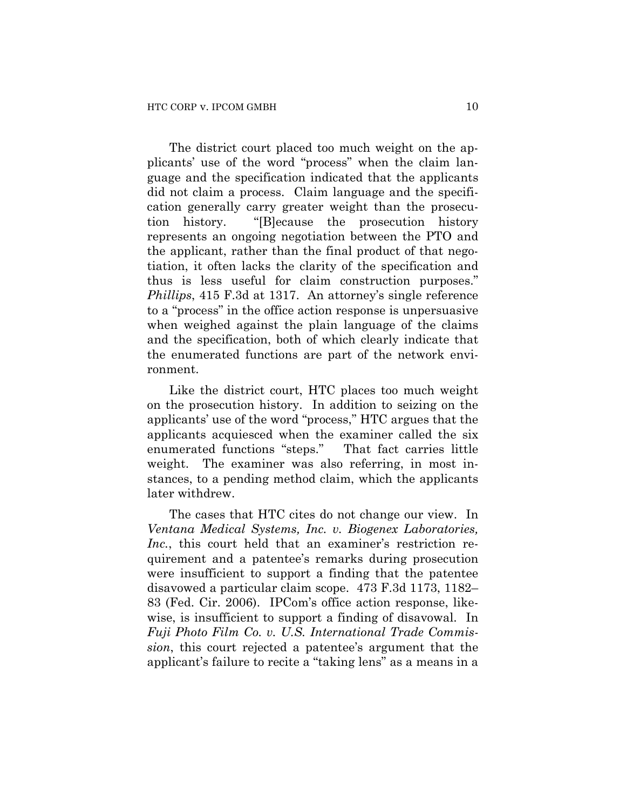The district court placed too much weight on the applicants' use of the word "process" when the claim language and the specification indicated that the applicants did not claim a process. Claim language and the specification generally carry greater weight than the prosecution history. "[B]ecause the prosecution history represents an ongoing negotiation between the PTO and the applicant, rather than the final product of that negotiation, it often lacks the clarity of the specification and thus is less useful for claim construction purposes." *Phillips*, 415 F.3d at 1317. An attorney's single reference to a "process" in the office action response is unpersuasive when weighed against the plain language of the claims and the specification, both of which clearly indicate that the enumerated functions are part of the network environment.

Like the district court, HTC places too much weight on the prosecution history. In addition to seizing on the applicants' use of the word "process," HTC argues that the applicants acquiesced when the examiner called the six enumerated functions "steps." That fact carries little weight. The examiner was also referring, in most instances, to a pending method claim, which the applicants later withdrew.

The cases that HTC cites do not change our view. In *Ventana Medical Systems, Inc. v. Biogenex Laboratories, Inc.*, this court held that an examiner's restriction requirement and a patentee's remarks during prosecution were insufficient to support a finding that the patentee disavowed a particular claim scope. 473 F.3d 1173, 1182– 83 (Fed. Cir. 2006). IPCom's office action response, likewise, is insufficient to support a finding of disavowal. In *Fuji Photo Film Co. v. U.S. International Trade Commission*, this court rejected a patentee's argument that the applicant's failure to recite a "taking lens" as a means in a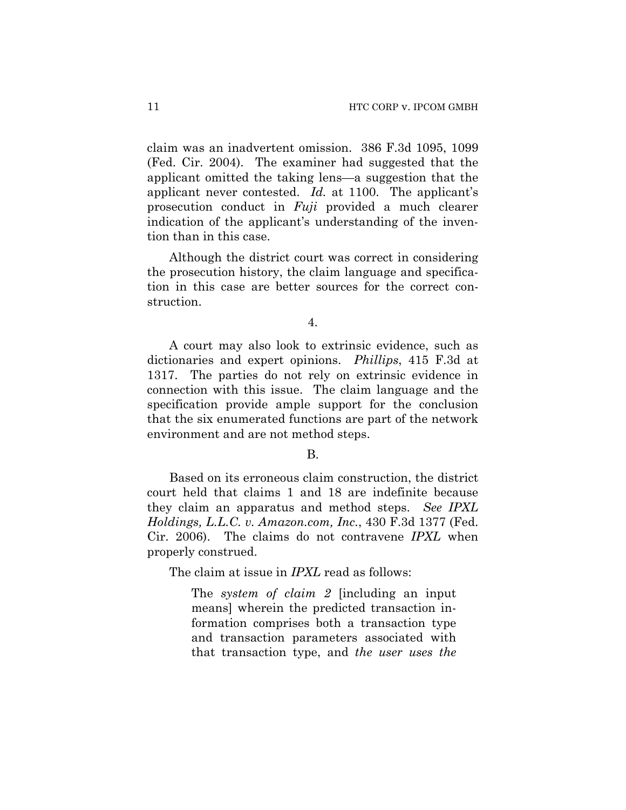claim was an inadvertent omission. 386 F.3d 1095, 1099 (Fed. Cir. 2004). The examiner had suggested that the applicant omitted the taking lens—a suggestion that the applicant never contested. *Id.* at 1100. The applicant's prosecution conduct in *Fuji* provided a much clearer indication of the applicant's understanding of the invention than in this case.

Although the district court was correct in considering the prosecution history, the claim language and specification in this case are better sources for the correct construction.

4.

A court may also look to extrinsic evidence, such as dictionaries and expert opinions. *Phillips*, 415 F.3d at 1317. The parties do not rely on extrinsic evidence in connection with this issue. The claim language and the specification provide ample support for the conclusion that the six enumerated functions are part of the network environment and are not method steps.

#### B.

Based on its erroneous claim construction, the district court held that claims 1 and 18 are indefinite because they claim an apparatus and method steps. *See IPXL Holdings, L.L.C. v. Amazon.com, Inc.*, 430 F.3d 1377 (Fed. Cir. 2006). The claims do not contravene *IPXL* when properly construed.

The claim at issue in *IPXL* read as follows:

The *system of claim 2* [including an input means] wherein the predicted transaction information comprises both a transaction type and transaction parameters associated with that transaction type, and *the user uses the*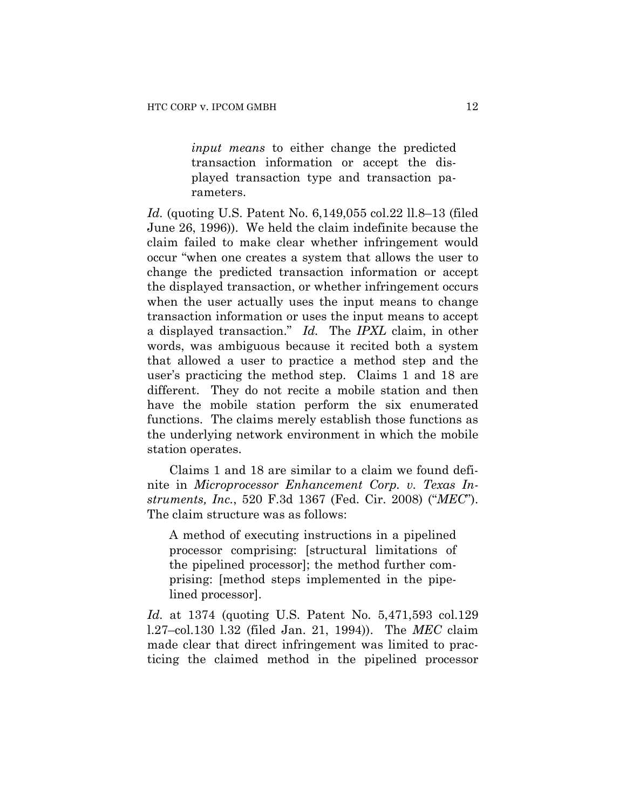*input means* to either change the predicted transaction information or accept the displayed transaction type and transaction parameters.

*Id.* (quoting U.S. Patent No. 6,149,055 col.22 ll.8–13 (filed June 26, 1996)). We held the claim indefinite because the claim failed to make clear whether infringement would occur "when one creates a system that allows the user to change the predicted transaction information or accept the displayed transaction, or whether infringement occurs when the user actually uses the input means to change transaction information or uses the input means to accept a displayed transaction." *Id.* The *IPXL* claim, in other words, was ambiguous because it recited both a system that allowed a user to practice a method step and the user's practicing the method step. Claims 1 and 18 are different. They do not recite a mobile station and then have the mobile station perform the six enumerated functions. The claims merely establish those functions as the underlying network environment in which the mobile station operates.

Claims 1 and 18 are similar to a claim we found definite in *Microprocessor Enhancement Corp. v. Texas Instruments, Inc.*, 520 F.3d 1367 (Fed. Cir. 2008) ("*MEC*"). The claim structure was as follows:

A method of executing instructions in a pipelined processor comprising: [structural limitations of the pipelined processor]; the method further comprising: [method steps implemented in the pipelined processor].

*Id.* at 1374 (quoting U.S. Patent No. 5,471,593 col.129 l.27–col.130 l.32 (filed Jan. 21, 1994)). The *MEC* claim made clear that direct infringement was limited to practicing the claimed method in the pipelined processor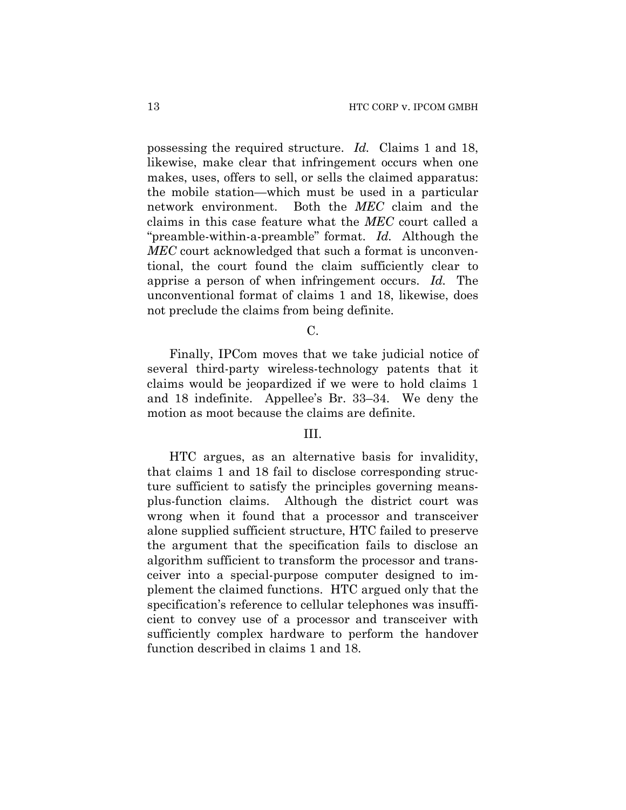possessing the required structure. *Id.* Claims 1 and 18, likewise, make clear that infringement occurs when one makes, uses, offers to sell, or sells the claimed apparatus: the mobile station—which must be used in a particular network environment. Both the *MEC* claim and the claims in this case feature what the *MEC* court called a "preamble-within-a-preamble" format. *Id.* Although the *MEC* court acknowledged that such a format is unconventional, the court found the claim sufficiently clear to apprise a person of when infringement occurs. *Id.* The unconventional format of claims 1 and 18, likewise, does not preclude the claims from being definite.

C.

Finally, IPCom moves that we take judicial notice of several third-party wireless-technology patents that it claims would be jeopardized if we were to hold claims 1 and 18 indefinite. Appellee's Br. 33–34. We deny the motion as moot because the claims are definite.

## III.

HTC argues, as an alternative basis for invalidity, that claims 1 and 18 fail to disclose corresponding structure sufficient to satisfy the principles governing meansplus-function claims. Although the district court was wrong when it found that a processor and transceiver alone supplied sufficient structure, HTC failed to preserve the argument that the specification fails to disclose an algorithm sufficient to transform the processor and transceiver into a special-purpose computer designed to implement the claimed functions. HTC argued only that the specification's reference to cellular telephones was insufficient to convey use of a processor and transceiver with sufficiently complex hardware to perform the handover function described in claims 1 and 18.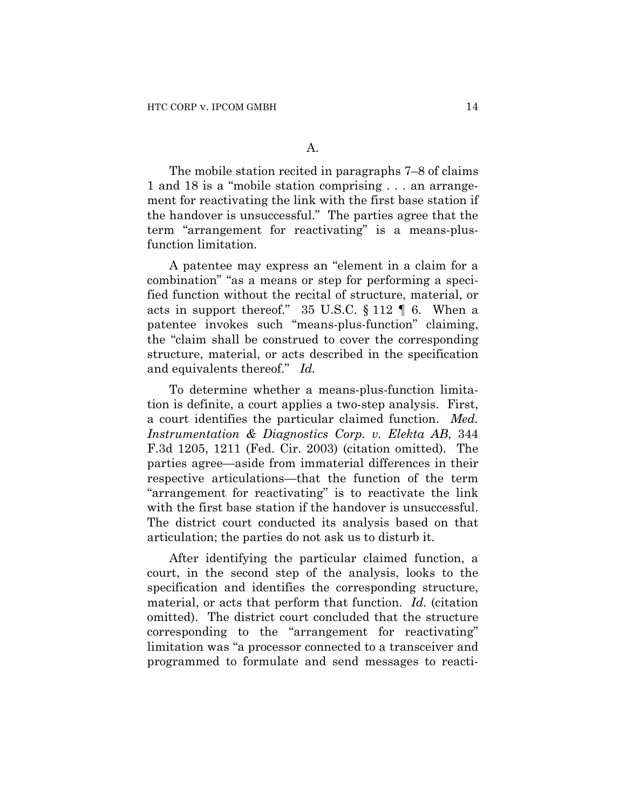The mobile station recited in paragraphs 7–8 of claims 1 and 18 is a "mobile station comprising . . . an arrangement for reactivating the link with the first base station if the handover is unsuccessful." The parties agree that the term "arrangement for reactivating" is a means-plusfunction limitation.

A patentee may express an "element in a claim for a combination" "as a means or step for performing a specified function without the recital of structure, material, or acts in support thereof." 35 U.S.C. § 112 ¶ 6. When a patentee invokes such "means-plus-function" claiming, the "claim shall be construed to cover the corresponding structure, material, or acts described in the specification and equivalents thereof." *Id.*

To determine whether a means-plus-function limitation is definite, a court applies a two-step analysis. First, a court identifies the particular claimed function. *Med. Instrumentation & Diagnostics Corp. v. Elekta AB*, 344 F.3d 1205, 1211 (Fed. Cir. 2003) (citation omitted). The parties agree—aside from immaterial differences in their respective articulations—that the function of the term "arrangement for reactivating" is to reactivate the link with the first base station if the handover is unsuccessful. The district court conducted its analysis based on that articulation; the parties do not ask us to disturb it.

After identifying the particular claimed function, a court, in the second step of the analysis, looks to the specification and identifies the corresponding structure, material, or acts that perform that function. *Id.* (citation omitted). The district court concluded that the structure corresponding to the "arrangement for reactivating" limitation was "a processor connected to a transceiver and programmed to formulate and send messages to reacti-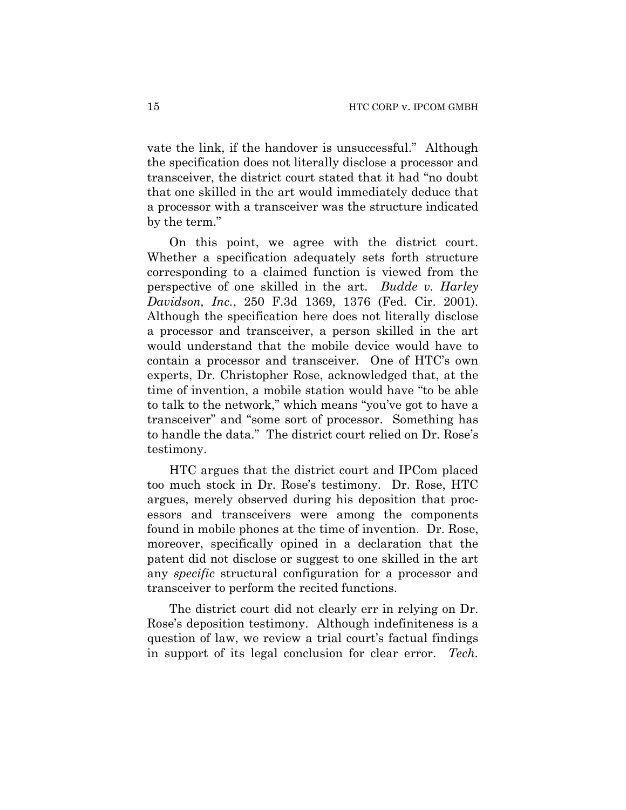vate the link, if the handover is unsuccessful." Although the specification does not literally disclose a processor and transceiver, the district court stated that it had "no doubt that one skilled in the art would immediately deduce that a processor with a transceiver was the structure indicated by the term."

On this point, we agree with the district court. Whether a specification adequately sets forth structure corresponding to a claimed function is viewed from the perspective of one skilled in the art. *Budde v. Harley Davidson, Inc.*, 250 F.3d 1369, 1376 (Fed. Cir. 2001). Although the specification here does not literally disclose a processor and transceiver, a person skilled in the art would understand that the mobile device would have to contain a processor and transceiver. One of HTC's own experts, Dr. Christopher Rose, acknowledged that, at the time of invention, a mobile station would have "to be able to talk to the network," which means "you've got to have a transceiver" and "some sort of processor. Something has to handle the data." The district court relied on Dr. Rose's testimony.

HTC argues that the district court and IPCom placed too much stock in Dr. Rose's testimony. Dr. Rose, HTC argues, merely observed during his deposition that processors and transceivers were among the components found in mobile phones at the time of invention. Dr. Rose, moreover, specifically opined in a declaration that the patent did not disclose or suggest to one skilled in the art any *specific* structural configuration for a processor and transceiver to perform the recited functions.

The district court did not clearly err in relying on Dr. Rose's deposition testimony. Although indefiniteness is a question of law, we review a trial court's factual findings in support of its legal conclusion for clear error. *Tech.*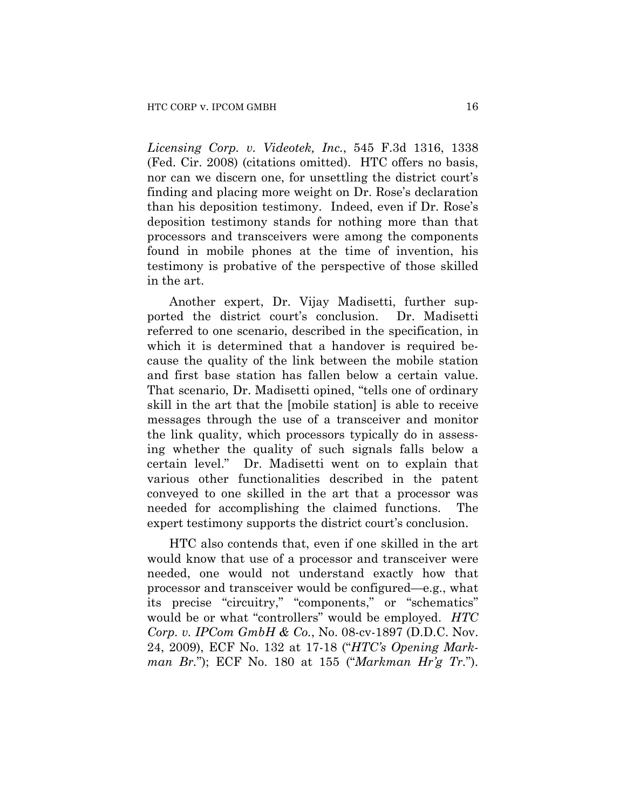*Licensing Corp. v. Videotek, Inc.*, 545 F.3d 1316, 1338 (Fed. Cir. 2008) (citations omitted). HTC offers no basis, nor can we discern one, for unsettling the district court's finding and placing more weight on Dr. Rose's declaration than his deposition testimony. Indeed, even if Dr. Rose's deposition testimony stands for nothing more than that processors and transceivers were among the components found in mobile phones at the time of invention, his testimony is probative of the perspective of those skilled in the art.

Another expert, Dr. Vijay Madisetti, further supported the district court's conclusion. Dr. Madisetti referred to one scenario, described in the specification, in which it is determined that a handover is required because the quality of the link between the mobile station and first base station has fallen below a certain value. That scenario, Dr. Madisetti opined, "tells one of ordinary skill in the art that the [mobile station] is able to receive messages through the use of a transceiver and monitor the link quality, which processors typically do in assessing whether the quality of such signals falls below a certain level." Dr. Madisetti went on to explain that various other functionalities described in the patent conveyed to one skilled in the art that a processor was needed for accomplishing the claimed functions. The expert testimony supports the district court's conclusion.

HTC also contends that, even if one skilled in the art would know that use of a processor and transceiver were needed, one would not understand exactly how that processor and transceiver would be configured—e.g., what its precise "circuitry," "components," or "schematics" would be or what "controllers" would be employed. *HTC Corp. v. IPCom GmbH & Co.*, No. 08-cv-1897 (D.D.C. Nov. 24, 2009), ECF No. 132 at 17-18 ("*HTC's Opening Markman Br.*"); ECF No. 180 at 155 ("*Markman Hr'g Tr.*").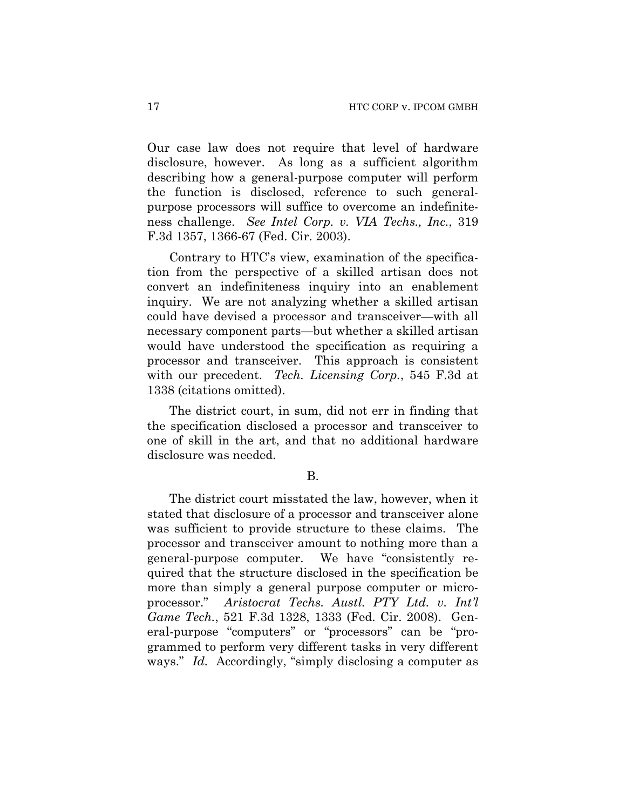Our case law does not require that level of hardware disclosure, however. As long as a sufficient algorithm describing how a general-purpose computer will perform the function is disclosed, reference to such generalpurpose processors will suffice to overcome an indefiniteness challenge. *See Intel Corp. v. VIA Techs., Inc.*, 319 F.3d 1357, 1366-67 (Fed. Cir. 2003).

Contrary to HTC's view, examination of the specification from the perspective of a skilled artisan does not convert an indefiniteness inquiry into an enablement inquiry. We are not analyzing whether a skilled artisan could have devised a processor and transceiver—with all necessary component parts—but whether a skilled artisan would have understood the specification as requiring a processor and transceiver. This approach is consistent with our precedent. *Tech. Licensing Corp.*, 545 F.3d at 1338 (citations omitted).

The district court, in sum, did not err in finding that the specification disclosed a processor and transceiver to one of skill in the art, and that no additional hardware disclosure was needed.

#### B.

The district court misstated the law, however, when it stated that disclosure of a processor and transceiver alone was sufficient to provide structure to these claims. The processor and transceiver amount to nothing more than a general-purpose computer. We have "consistently required that the structure disclosed in the specification be more than simply a general purpose computer or microprocessor." *Aristocrat Techs. Austl. PTY Ltd. v. Int'l Game Tech.*, 521 F.3d 1328, 1333 (Fed. Cir. 2008). General-purpose "computers" or "processors" can be "programmed to perform very different tasks in very different ways." *Id.* Accordingly, "simply disclosing a computer as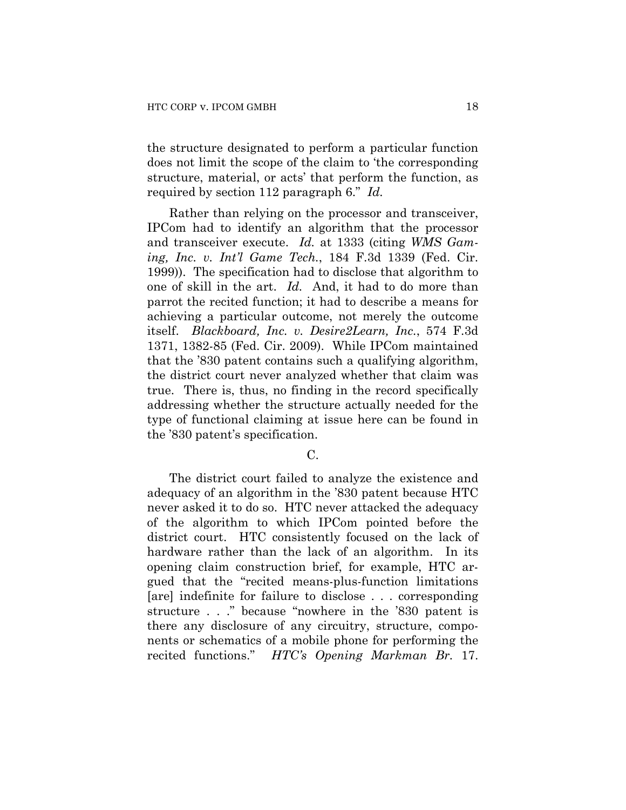the structure designated to perform a particular function does not limit the scope of the claim to 'the corresponding structure, material, or acts' that perform the function, as required by section 112 paragraph 6." *Id.*

Rather than relying on the processor and transceiver, IPCom had to identify an algorithm that the processor and transceiver execute. *Id.* at 1333 (citing *WMS Gaming, Inc. v. Int'l Game Tech.*, 184 F.3d 1339 (Fed. Cir. 1999)). The specification had to disclose that algorithm to one of skill in the art. *Id.* And, it had to do more than parrot the recited function; it had to describe a means for achieving a particular outcome, not merely the outcome itself. *Blackboard, Inc. v. Desire2Learn, Inc.*, 574 F.3d 1371, 1382-85 (Fed. Cir. 2009). While IPCom maintained that the '830 patent contains such a qualifying algorithm, the district court never analyzed whether that claim was true. There is, thus, no finding in the record specifically addressing whether the structure actually needed for the type of functional claiming at issue here can be found in the '830 patent's specification.

C.

The district court failed to analyze the existence and adequacy of an algorithm in the '830 patent because HTC never asked it to do so. HTC never attacked the adequacy of the algorithm to which IPCom pointed before the district court. HTC consistently focused on the lack of hardware rather than the lack of an algorithm. In its opening claim construction brief, for example, HTC argued that the "recited means-plus-function limitations [are] indefinite for failure to disclose . . . corresponding structure . . ." because "nowhere in the '830 patent is there any disclosure of any circuitry, structure, components or schematics of a mobile phone for performing the recited functions." *HTC's Opening Markman Br.* 17.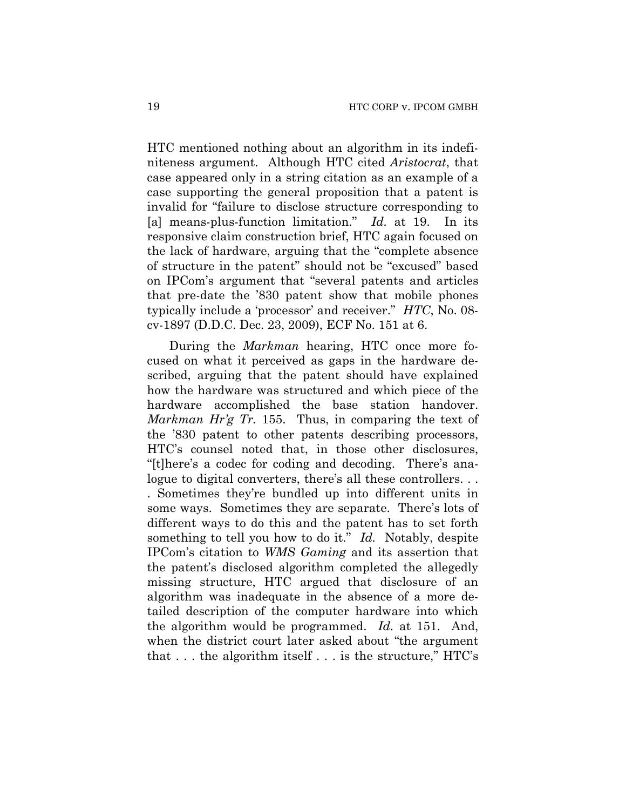HTC mentioned nothing about an algorithm in its indefiniteness argument. Although HTC cited *Aristocrat*, that case appeared only in a string citation as an example of a case supporting the general proposition that a patent is invalid for "failure to disclose structure corresponding to [a] means-plus-function limitation." *Id.* at 19. In its responsive claim construction brief, HTC again focused on the lack of hardware, arguing that the "complete absence of structure in the patent" should not be "excused" based on IPCom's argument that "several patents and articles that pre-date the '830 patent show that mobile phones typically include a 'processor' and receiver." *HTC*, No. 08 cv-1897 (D.D.C. Dec. 23, 2009), ECF No. 151 at 6.

During the *Markman* hearing, HTC once more focused on what it perceived as gaps in the hardware described, arguing that the patent should have explained how the hardware was structured and which piece of the hardware accomplished the base station handover. *Markman Hr'g Tr.* 155. Thus, in comparing the text of the '830 patent to other patents describing processors, HTC's counsel noted that, in those other disclosures, "[t]here's a codec for coding and decoding. There's analogue to digital converters, there's all these controllers... . Sometimes they're bundled up into different units in some ways. Sometimes they are separate. There's lots of different ways to do this and the patent has to set forth something to tell you how to do it." *Id.* Notably, despite IPCom's citation to *WMS Gaming* and its assertion that the patent's disclosed algorithm completed the allegedly missing structure, HTC argued that disclosure of an algorithm was inadequate in the absence of a more detailed description of the computer hardware into which the algorithm would be programmed. *Id.* at 151. And, when the district court later asked about "the argument that . . . the algorithm itself . . . is the structure," HTC's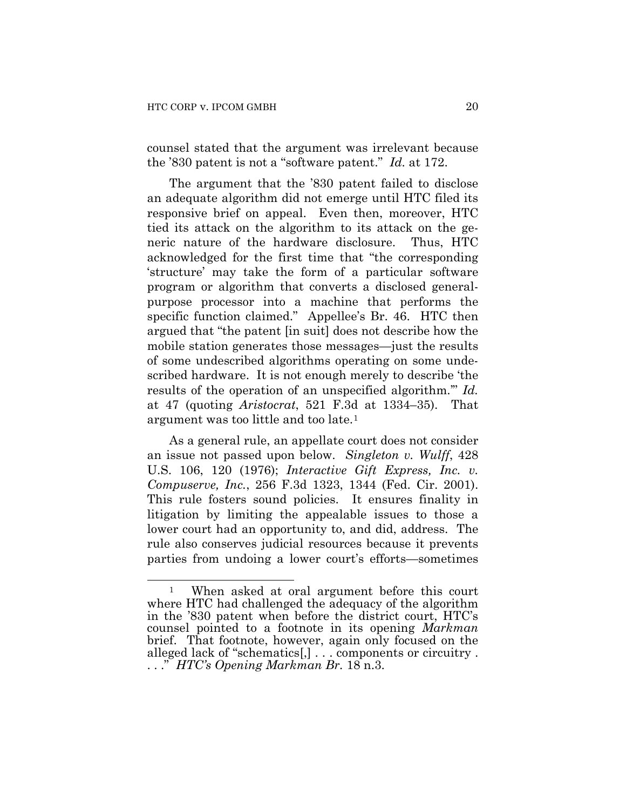counsel stated that the argument was irrelevant because the '830 patent is not a "software patent." *Id.* at 172.

The argument that the '830 patent failed to disclose an adequate algorithm did not emerge until HTC filed its responsive brief on appeal. Even then, moreover, HTC tied its attack on the algorithm to its attack on the generic nature of the hardware disclosure. Thus, HTC acknowledged for the first time that "the corresponding 'structure' may take the form of a particular software program or algorithm that converts a disclosed generalpurpose processor into a machine that performs the specific function claimed." Appellee's Br. 46. HTC then argued that "the patent [in suit] does not describe how the mobile station generates those messages—just the results of some undescribed algorithms operating on some undescribed hardware. It is not enough merely to describe 'the results of the operation of an unspecified algorithm.'" *Id.* at 47 (quoting *Aristocrat*, 521 F.3d at 1334–35). That argument was too little and too late.[1](#page-19-0)

As a general rule, an appellate court does not consider an issue not passed upon below. *Singleton v. Wulff*, 428 U.S. 106, 120 (1976); *Interactive Gift Express, Inc. v. Compuserve, Inc.*, 256 F.3d 1323, 1344 (Fed. Cir. 2001). This rule fosters sound policies. It ensures finality in litigation by limiting the appealable issues to those a lower court had an opportunity to, and did, address. The rule also conserves judicial resources because it prevents parties from undoing a lower court's efforts—sometimes

<span id="page-19-0"></span> $\overline{a}$ 1 When asked at oral argument before this court where HTC had challenged the adequacy of the algorithm in the '830 patent when before the district court, HTC's counsel pointed to a footnote in its opening *Markman* brief. That footnote, however, again only focused on the alleged lack of "schematics[,] . . . components or circuitry . . . ." *HTC's Opening Markman Br.* 18 n.3.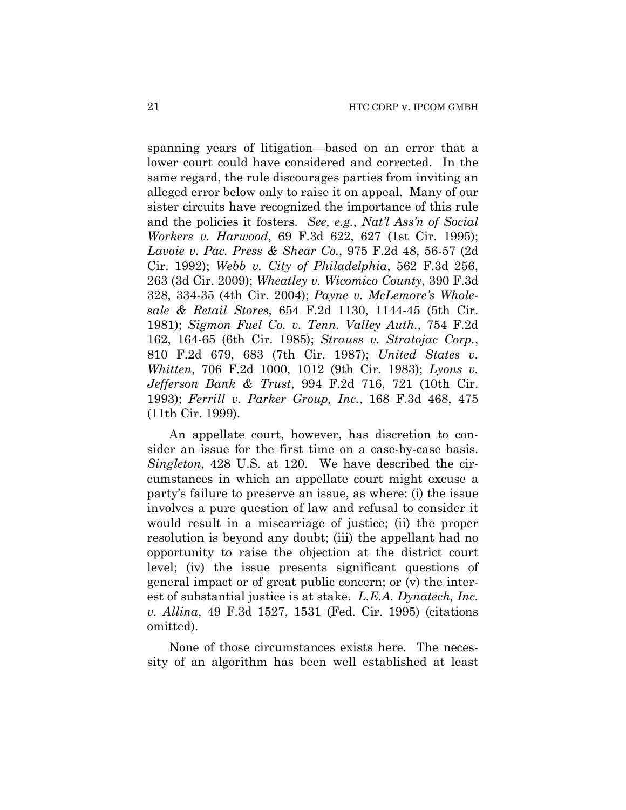spanning years of litigation—based on an error that a lower court could have considered and corrected. In the same regard, the rule discourages parties from inviting an alleged error below only to raise it on appeal. Many of our sister circuits have recognized the importance of this rule and the policies it fosters. *See, e.g.*, *Nat'l Ass'n of Social Workers v. Harwood*, 69 F.3d 622, 627 (1st Cir. 1995); *Lavoie v. Pac. Press & Shear Co.*, 975 F.2d 48, 56-57 (2d Cir. 1992); *Webb v. City of Philadelphia*, 562 F.3d 256, 263 (3d Cir. 2009); *Wheatley v. Wicomico County*, 390 F.3d 328, 334-35 (4th Cir. 2004); *Payne v. McLemore's Wholesale & Retail Stores*, 654 F.2d 1130, 1144-45 (5th Cir. 1981); *Sigmon Fuel Co. v. Tenn. Valley Auth.*, 754 F.2d 162, 164-65 (6th Cir. 1985); *Strauss v. Stratojac Corp.*, 810 F.2d 679, 683 (7th Cir. 1987); *United States v. Whitten*, 706 F.2d 1000, 1012 (9th Cir. 1983); *Lyons v. Jefferson Bank & Trust*, 994 F.2d 716, 721 (10th Cir. 1993); *Ferrill v. Parker Group, Inc.*, 168 F.3d 468, 475 (11th Cir. 1999).

An appellate court, however, has discretion to consider an issue for the first time on a case-by-case basis. *Singleton*, 428 U.S. at 120. We have described the circumstances in which an appellate court might excuse a party's failure to preserve an issue, as where: (i) the issue involves a pure question of law and refusal to consider it would result in a miscarriage of justice; (ii) the proper resolution is beyond any doubt; (iii) the appellant had no opportunity to raise the objection at the district court level; (iv) the issue presents significant questions of general impact or of great public concern; or (v) the interest of substantial justice is at stake. *L.E.A. Dynatech, Inc. v. Allina*, 49 F.3d 1527, 1531 (Fed. Cir. 1995) (citations omitted).

None of those circumstances exists here. The necessity of an algorithm has been well established at least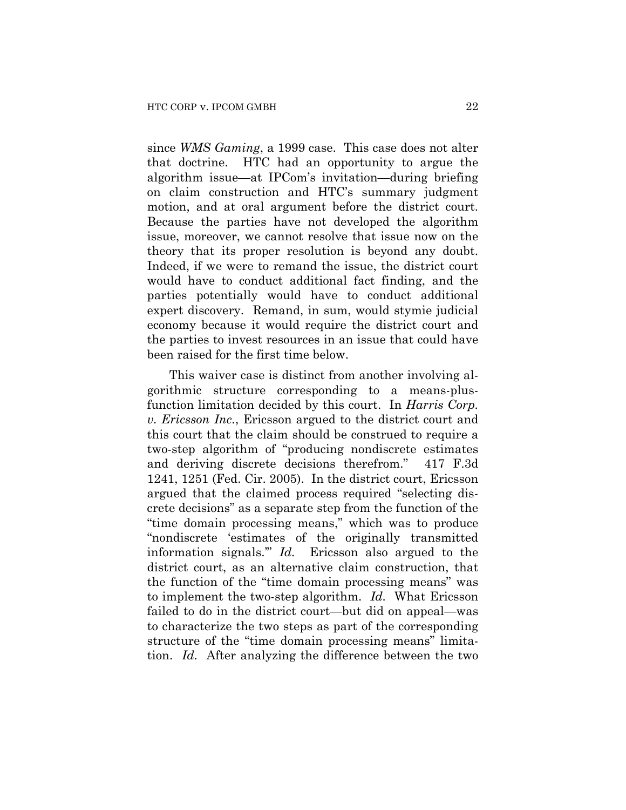since *WMS Gaming*, a 1999 case. This case does not alter that doctrine. HTC had an opportunity to argue the algorithm issue—at IPCom's invitation—during briefing on claim construction and HTC's summary judgment motion, and at oral argument before the district court. Because the parties have not developed the algorithm issue, moreover, we cannot resolve that issue now on the theory that its proper resolution is beyond any doubt. Indeed, if we were to remand the issue, the district court would have to conduct additional fact finding, and the parties potentially would have to conduct additional expert discovery. Remand, in sum, would stymie judicial economy because it would require the district court and the parties to invest resources in an issue that could have been raised for the first time below.

This waiver case is distinct from another involving algorithmic structure corresponding to a means-plusfunction limitation decided by this court. In *Harris Corp. v. Ericsson Inc.*, Ericsson argued to the district court and this court that the claim should be construed to require a two-step algorithm of "producing nondiscrete estimates and deriving discrete decisions therefrom." 417 F.3d 1241, 1251 (Fed. Cir. 2005). In the district court, Ericsson argued that the claimed process required "selecting discrete decisions" as a separate step from the function of the "time domain processing means," which was to produce "nondiscrete 'estimates of the originally transmitted information signals.'" *Id.* Ericsson also argued to the district court, as an alternative claim construction, that the function of the "time domain processing means" was to implement the two-step algorithm. *Id.* What Ericsson failed to do in the district court—but did on appeal—was to characterize the two steps as part of the corresponding structure of the "time domain processing means" limitation. *Id.* After analyzing the difference between the two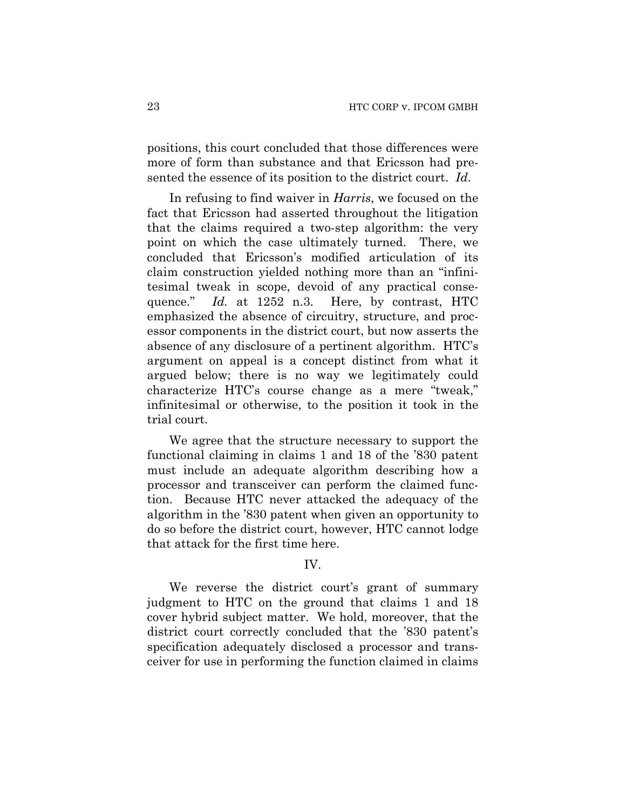positions, this court concluded that those differences were more of form than substance and that Ericsson had presented the essence of its position to the district court. *Id.* 

In refusing to find waiver in *Harris*, we focused on the fact that Ericsson had asserted throughout the litigation that the claims required a two-step algorithm: the very point on which the case ultimately turned. There, we concluded that Ericsson's modified articulation of its claim construction yielded nothing more than an "infinitesimal tweak in scope, devoid of any practical consequence." *Id.* at 1252 n.3. Here, by contrast, HTC emphasized the absence of circuitry, structure, and processor components in the district court, but now asserts the absence of any disclosure of a pertinent algorithm. HTC's argument on appeal is a concept distinct from what it argued below; there is no way we legitimately could characterize HTC's course change as a mere "tweak," infinitesimal or otherwise, to the position it took in the trial court.

We agree that the structure necessary to support the functional claiming in claims 1 and 18 of the '830 patent must include an adequate algorithm describing how a processor and transceiver can perform the claimed function. Because HTC never attacked the adequacy of the algorithm in the '830 patent when given an opportunity to do so before the district court, however, HTC cannot lodge that attack for the first time here.

#### IV.

We reverse the district court's grant of summary judgment to HTC on the ground that claims 1 and 18 cover hybrid subject matter. We hold, moreover, that the district court correctly concluded that the '830 patent's specification adequately disclosed a processor and transceiver for use in performing the function claimed in claims